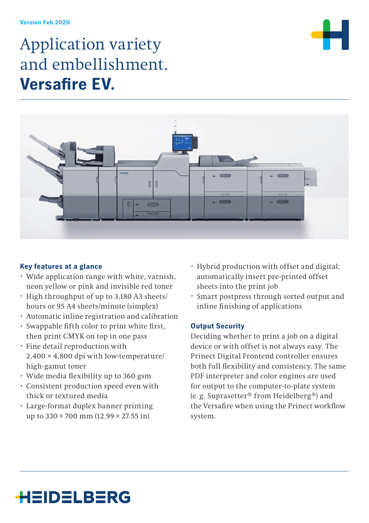

# Application variety and embellishment. **Versafire EV.**



## **Key features at a glance**

- Wide application range with white, varnish, neon yellow or pink and invisible red toner
- High throughput of up to 3,180 A3 sheets/ hours or 95 A4 sheets/minute (simplex)
- Automatic inline registration and calibration
- Swappable fifth color to print white first, then print CMYK on top in one pass
- Fine detail reproduction with 2,400 × 4,800 dpi with low-temperature/ high-gamut toner
- Wide media flexibility up to 360 gsm
- Consistent production speed even with thick or textured media
- Large-format duplex banner printing up to 330 × 700 mm (12.99 × 27.55 in)
- Hybrid production with offset and digital; automatically insert pre-printed offset sheets into the print job
- Smart postpress through sorted output and inline finishing of applications

### **Output Security**

Deciding whether to print a job on a digital device or with offset is not always easy. The Prinect Digital Frontend controller ensures both full flexibility and consistency. The same PDF interpreter and color engines are used for output to the computer-to-plate system (e. g. Suprasetter® from Heidelberg®) and the Versafire when using the Prinect workflow system.

# **HEIDELBERG**